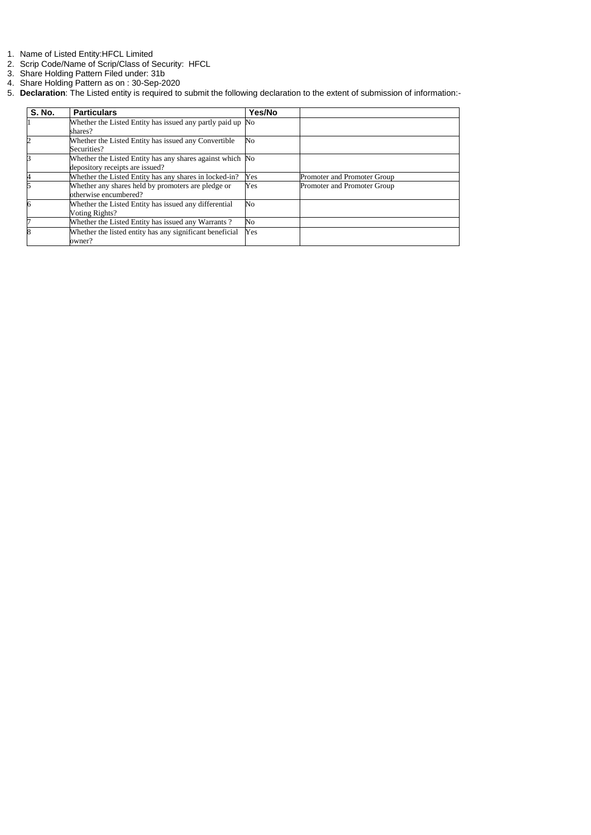- 1. Name of Listed Entity:HFCL Limited
- 2. Scrip Code/Name of Scrip/Class of Security: HFCL
- 3. Share Holding Pattern Filed under: 31b
- 4. Share Holding Pattern as on : 30-Sep-2020
- 5. **Declaration**: The Listed entity is required to submit the following declaration to the extent of submission of information:-

| <b>S. No.</b> | <b>Particulars</b>                                         | Yes/No |                             |
|---------------|------------------------------------------------------------|--------|-----------------------------|
|               | Whether the Listed Entity has issued any partly paid up No |        |                             |
|               | shares?                                                    |        |                             |
|               | Whether the Listed Entity has issued any Convertible       | No     |                             |
|               | Securities?                                                |        |                             |
|               | Whether the Listed Entity has any shares against which No  |        |                             |
|               | depository receipts are issued?                            |        |                             |
|               | Whether the Listed Entity has any shares in locked-in?     | Yes    | Promoter and Promoter Group |
|               | Whether any shares held by promoters are pledge or         | Yes    | Promoter and Promoter Group |
|               | otherwise encumbered?                                      |        |                             |
|               | Whether the Listed Entity has issued any differential      | No     |                             |
|               | Voting Rights?                                             |        |                             |
|               | Whether the Listed Entity has issued any Warrants?         | No     |                             |
|               | Whether the listed entity has any significant beneficial   | Yes    |                             |
|               | owner?                                                     |        |                             |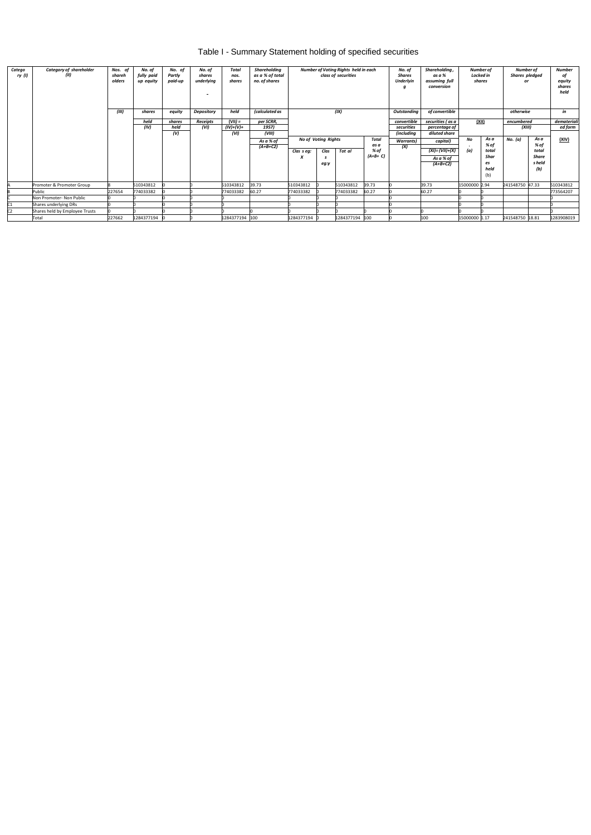| Table I - Summary Statement holding of specified securities |  |
|-------------------------------------------------------------|--|
|                                                             |  |

| Catego<br>ry (I) | Category of shareholder<br>(II) | Nos. of<br>shareh<br>olders | No. of<br>fully paid<br>up equity | No. of<br>Partly<br>paid-up | No. of<br>shares<br>underlying<br>$\overline{\phantom{a}}$ | Total<br>nos.<br>shares | Shareholding<br>as a % of total<br>no. of shares | Number of Voting Rights held in each<br>class of securities |      |                | <b>Shares</b><br>Locked in<br>as a %<br><b>Underlyin</b><br>assuming full<br>shares<br>conversion |             | Shareholding,<br>Number of<br>No. of |               | Number of<br><b>Shares pledged</b> |                 | <b>Number</b><br>оf<br>equity<br>shares<br>held |            |
|------------------|---------------------------------|-----------------------------|-----------------------------------|-----------------------------|------------------------------------------------------------|-------------------------|--------------------------------------------------|-------------------------------------------------------------|------|----------------|---------------------------------------------------------------------------------------------------|-------------|--------------------------------------|---------------|------------------------------------|-----------------|-------------------------------------------------|------------|
|                  |                                 | (III)                       | shares                            | equity                      | <b>Depository</b>                                          | held                    | (calculated as                                   |                                                             |      | (IX)           |                                                                                                   | Outstanding | of convertible                       |               |                                    | otherwise       |                                                 | in         |
|                  |                                 |                             | held                              | shares                      | Receipts                                                   | $(VII) =$               | per SCRR,                                        |                                                             |      |                |                                                                                                   | convertible | securities ( as a                    |               | (XII)                              | encumbered      |                                                 | dematerial |
|                  |                                 |                             | (IV)                              | held                        | (VI)                                                       | $(IV)+(V)+$             | 1957)                                            |                                                             |      |                |                                                                                                   | securities  | percentage of                        |               |                                    | (XIII)          |                                                 | ed form    |
|                  |                                 |                             |                                   | (V)                         |                                                            | (VI)                    | (VIII)                                           |                                                             |      |                |                                                                                                   | (including  | diluted share                        |               |                                    |                 |                                                 |            |
|                  |                                 |                             |                                   |                             |                                                            |                         | As a % of                                        | <b>No of Voting Rights</b>                                  |      |                | Total                                                                                             | Warrants)   | capital)                             | No            | As a                               | No. (a)         | As a                                            | (XIV)      |
|                  |                                 |                             |                                   |                             |                                                            |                         | $(A+B+C2)$                                       |                                                             |      |                | as a                                                                                              | (X)         |                                      |               | % of                               |                 | % of                                            |            |
|                  |                                 |                             |                                   |                             |                                                            |                         |                                                  | Clas seg:                                                   | Clas | Tot al         | % of<br>$(A+B+C)$                                                                                 |             | $(XI) = (VII) + (X)$                 | (a)           | total                              |                 | total                                           |            |
|                  |                                 |                             |                                   |                             |                                                            |                         |                                                  | x                                                           |      |                |                                                                                                   |             | As a % of                            |               | Shar                               |                 | Share<br>s held                                 |            |
|                  |                                 |                             |                                   |                             |                                                            |                         |                                                  |                                                             | eg:y |                |                                                                                                   |             | $(A+B+C2)$                           |               | es<br>held                         |                 | (b)                                             |            |
|                  |                                 |                             |                                   |                             |                                                            |                         |                                                  |                                                             |      |                |                                                                                                   |             |                                      |               | (b)                                |                 |                                                 |            |
|                  |                                 |                             |                                   |                             |                                                            |                         |                                                  |                                                             |      |                |                                                                                                   |             |                                      |               |                                    |                 |                                                 |            |
|                  | Promoter & Promoter Group       |                             | 510343812                         |                             |                                                            | 510343812               | 39.73                                            | 510343812                                                   |      | 510343812      | 39.73                                                                                             |             | 39.73                                | 15000000 2.94 |                                    | 241548750 47.33 |                                                 | 510343812  |
|                  | Public                          | 227654                      | 774033382                         |                             |                                                            | 774033382               | 60.27                                            | 774033382                                                   |      | 774033382      | 60.27                                                                                             |             | 60.27                                |               |                                    |                 |                                                 | 773564207  |
|                  | Non Promoter- Non Public        |                             |                                   |                             |                                                            |                         |                                                  |                                                             |      |                |                                                                                                   |             |                                      |               |                                    |                 |                                                 |            |
| C1               | Shares underlying DRs           |                             |                                   |                             |                                                            |                         |                                                  |                                                             |      |                |                                                                                                   |             |                                      |               |                                    |                 |                                                 |            |
| C <sub>2</sub>   | Shares held by Employee Trusts  |                             |                                   |                             |                                                            |                         |                                                  |                                                             |      |                |                                                                                                   |             |                                      |               |                                    |                 |                                                 |            |
|                  | Total                           | 227662                      | 1284377194                        |                             |                                                            | 1284377194 100          |                                                  | 1284377194                                                  |      | 1284377194 100 |                                                                                                   |             | 100                                  | 15000000 1.17 |                                    | 241548750 18.81 |                                                 | 1283908019 |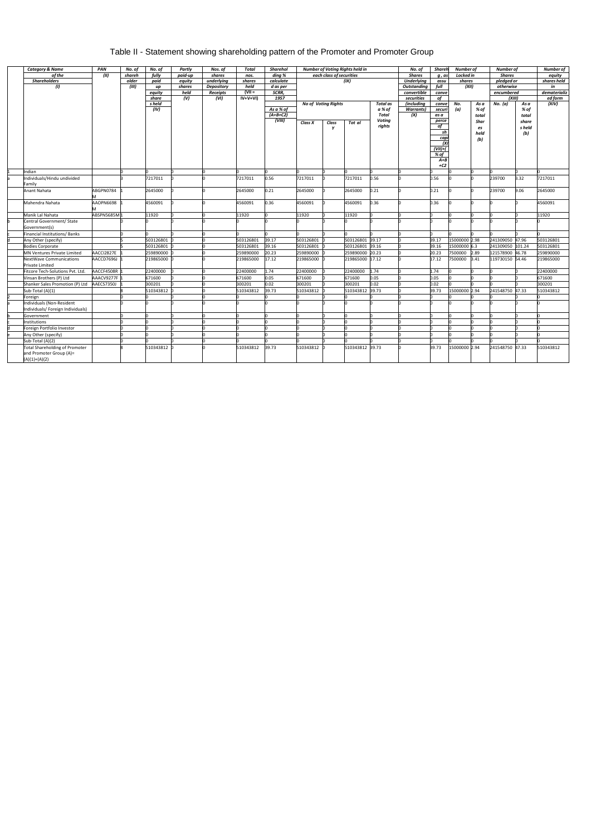## Table II - Statement showing shareholding pattern of the Promoter and Promoter Group

| <b>Category &amp; Name</b>            | PAN               | No. of         | No. of      | Partly  | Nos. of    | <b>Total</b> | <b>Sharehol</b> |                            |                          | <b>Number of Voting Rights held in</b> |                 | No. of             | <b>Shareh</b>  | Number of     |       | Number of        |        | Number of    |
|---------------------------------------|-------------------|----------------|-------------|---------|------------|--------------|-----------------|----------------------------|--------------------------|----------------------------------------|-----------------|--------------------|----------------|---------------|-------|------------------|--------|--------------|
| of the                                | (III)             | shareh         | fully       | paid-up | shares     | nos.         | ding %          |                            | each class of securities |                                        |                 | <b>Shares</b>      | $g$ , as       | Locked in     |       | <b>Shares</b>    |        | equity       |
| <b>Shareholders</b>                   |                   | older          | paid        | equity  | underlying | shares       | calculate       |                            |                          | (IX)                                   |                 | <b>Underlying</b>  | assu           | shares        |       | pledged or       |        | shares held  |
| (1)                                   |                   | $\sqrt{(III)}$ | up          | shares  | Depository | held         | d as per        |                            |                          |                                        |                 | <b>Outstanding</b> | full           | (XII)         |       | otherwise        |        | in           |
|                                       |                   |                | equity      | held    | Receipts   | $(VII =$     | SCRR,           |                            |                          |                                        |                 | convertible        | conve          |               |       | encumbered       |        | dematerializ |
|                                       |                   |                | share       | (V)     | (VI)       | $IV+V+VI)$   | 1957            |                            |                          |                                        |                 | securities         | of             |               |       | (XIII)           |        | ed form      |
|                                       |                   |                | s held      |         |            |              |                 | <b>No of Voting Rights</b> |                          |                                        | <b>Total</b> as | (including         | conve          | No.           | As a  | No. (a)          | As a   | (XIV)        |
|                                       |                   |                | (IV)        |         |            |              | As a % of       |                            |                          |                                        | a % of          | <b>Warrants</b> )  | securi         | (a)           | % of  |                  | % of   |              |
|                                       |                   |                |             |         |            |              | $(A+B+C2)$      |                            |                          |                                        | Total           | (X)                | as a           |               | total |                  | total  |              |
|                                       |                   |                |             |         |            |              | (VIII)          | Class X                    | Class                    | Tot al                                 | Voting          |                    | perce          |               | Shar  |                  | share  |              |
|                                       |                   |                |             |         |            |              |                 |                            | Y                        |                                        | rights          |                    | of             |               | es    |                  | s held |              |
|                                       |                   |                |             |         |            |              |                 |                            |                          |                                        |                 |                    | sh             |               | held  |                  | (b)    |              |
|                                       |                   |                |             |         |            |              |                 |                            |                          |                                        |                 |                    | capi           |               | (b)   |                  |        |              |
|                                       |                   |                |             |         |            |              |                 |                            |                          |                                        |                 |                    | $\overline{X}$ |               |       |                  |        |              |
|                                       |                   |                |             |         |            |              |                 |                            |                          |                                        |                 |                    | $(VII)+()$     |               |       |                  |        |              |
|                                       |                   |                |             |         |            |              |                 |                            |                          |                                        |                 |                    | % of           |               |       |                  |        |              |
|                                       |                   |                |             |         |            |              |                 |                            |                          |                                        |                 |                    | $A+B$          |               |       |                  |        |              |
|                                       |                   |                |             |         |            |              |                 |                            |                          |                                        |                 |                    | $+C2$          |               |       |                  |        |              |
| Indian                                |                   |                |             |         |            |              |                 |                            |                          |                                        |                 |                    |                |               |       |                  |        |              |
| Individuals/Hindu undivided           |                   |                | 7217011     |         |            | 7217011      | 0.56            | 7217011                    |                          | 7217011                                | 0.56            |                    | 0.56           |               |       | 239700           | 3.32   | 7217011      |
| Family                                |                   |                |             |         |            |              |                 |                            |                          |                                        |                 |                    |                |               |       |                  |        |              |
| Anant Nahata                          | ABGPN0784         |                | 2645000     |         |            | 2645000      | 0.21            | 2645000                    |                          | 2645000                                | 0.21            |                    | 0.21           |               |       | 239700           | 9.06   | 2645000      |
|                                       |                   |                |             |         |            |              |                 |                            |                          |                                        |                 |                    |                |               |       |                  |        |              |
| Mahendra Nahata                       | AAOPN6698         |                | 4560091     |         |            | 4560091      | 0.36            | 4560091                    |                          | 4560091                                | 0.36            |                    | 0.36           |               |       |                  |        | 4560091      |
|                                       |                   |                |             |         |            |              |                 |                            |                          |                                        |                 |                    |                |               |       |                  |        |              |
| Manik Lal Nahata                      | <b>ABSPN5685M</b> |                | 1920        |         |            | 11920        |                 | 11920                      |                          | 11920                                  |                 |                    |                |               |       |                  |        | 11920        |
| Central Government/ State             |                   |                |             |         |            |              |                 |                            |                          |                                        |                 |                    |                |               |       |                  |        |              |
| Government(s)                         |                   |                |             |         |            |              |                 |                            |                          |                                        |                 |                    |                |               |       |                  |        |              |
| Financial Institutions/Banks          |                   |                |             |         |            |              |                 |                            |                          |                                        |                 |                    |                |               |       |                  |        |              |
| Any Other (specify)                   |                   |                | 503126801   |         |            | 503126801    | 39.17           | 503126801                  |                          | 503126801 39.17                        |                 |                    | 39.17          | 15000000 2.98 |       | 241309050 47.96  |        | 503126801    |
| <b>Bodies Corporate</b>               |                   |                | 503126801   |         |            | 503126801    | 39.16           | 503126801                  |                          | 503126801                              | 39.16           |                    | 39.16          | 15000000 6.3  |       | 241309050 101.24 |        | 503126801    |
|                                       | AACCI2827E        |                | 259890000   |         |            |              | 20.23           | 259890000                  |                          |                                        | 20.23           |                    | 20.23          | 7500000       | 2.89  | 121578900 46.78  |        | 259890000    |
| MN Ventures Private Limited           |                   |                |             |         |            | 259890000    |                 |                            |                          | 259890000                              |                 |                    |                |               |       |                  |        |              |
| NextWave Communications               | AACCD7696J :      |                | 219865000 C |         |            | 219865000    | 17.12           | 219865000                  |                          | 219865000                              | 17.12           |                    | 17.12          | 7500000       | 3.41  | 119730150 54.46  |        | 219865000    |
| Private Limited                       |                   |                |             |         |            |              |                 |                            |                          |                                        |                 |                    |                |               |       |                  |        |              |
| Fitcore Tech-Solutions Pvt. Ltd.      | AACCF4508R        |                | 22400000    |         |            | 22400000     | .74             | 22400000                   |                          | 22400000                               | 1.74            |                    | 1.74           |               |       |                  |        | 22400000     |
| Vinsan Brothers (P) Ltd               | AAACV9277F        |                | 671600      |         |            | 671600       | 0.05            | 671600                     |                          | 671600                                 | 0.05            |                    | 0.05           |               |       |                  |        | 671600       |
| Shanker Sales Promotion (P) Ltd       | AAECS7350J        |                | 300201      |         |            | 300201       | 0.02            | 300201                     |                          | 300201                                 | 0.02            |                    | 0.02           |               |       |                  |        | 300201       |
| Sub-Total (A)(1)                      |                   |                | 510343812   |         |            | 510343812    | 39.73           | 510343812                  |                          | 510343812                              | 39.73           |                    | 39.73          | 15000000 2.94 |       | 241548750 47.33  |        | 510343812    |
| Foreign                               |                   |                |             |         |            |              |                 |                            |                          |                                        |                 |                    |                |               |       |                  |        |              |
| Individuals (Non-Resident             |                   |                |             |         |            |              |                 |                            |                          |                                        |                 |                    |                |               |       |                  |        |              |
| Individuals/Foreign Individuals)      |                   |                |             |         |            |              |                 |                            |                          |                                        |                 |                    |                |               |       |                  |        |              |
| Government                            |                   |                |             |         |            |              |                 |                            |                          |                                        |                 |                    |                |               |       |                  |        |              |
| Institutions                          |                   |                |             |         |            |              |                 |                            |                          |                                        |                 |                    |                |               |       |                  |        |              |
| Foreign Portfolio Investor            |                   |                |             |         |            |              |                 |                            |                          |                                        |                 |                    |                |               |       |                  |        |              |
|                                       |                   |                |             |         |            |              |                 |                            |                          |                                        |                 |                    |                |               |       |                  |        |              |
| Any Other (specify)                   |                   |                |             |         |            |              |                 |                            |                          |                                        |                 |                    |                |               |       |                  |        |              |
| Sub-Total (A)(2)                      |                   |                |             |         |            |              |                 |                            |                          |                                        |                 |                    |                |               |       |                  |        |              |
| <b>Total Shareholding of Promoter</b> |                   |                | 510343812 0 |         |            | 510343812    | 39.73           | 510343812 0                |                          | 510343812 39.73                        |                 |                    | 39.73          | 15000000 2.94 |       | 241548750 47.33  |        | 510343812    |
| and Promoter Group (A)=               |                   |                |             |         |            |              |                 |                            |                          |                                        |                 |                    |                |               |       |                  |        |              |
| $(A)(1)+(A)(2)$                       |                   |                |             |         |            |              |                 |                            |                          |                                        |                 |                    |                |               |       |                  |        |              |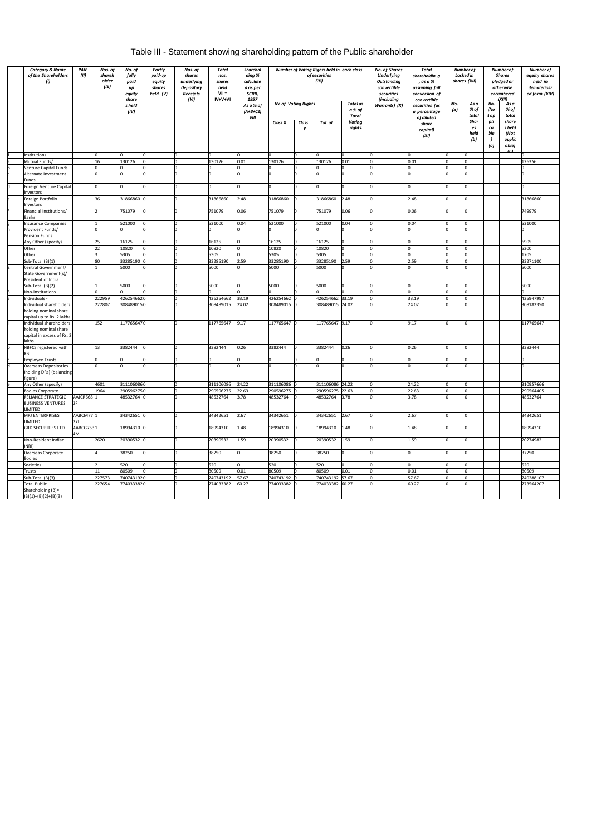## Table III - Statement showing shareholding pattern of the Public shareholder

| <b>Category &amp; Name</b><br>of the Shareholders<br>(1)                                 | PAN<br>(III)      | Nos. of<br>shareh<br>older<br>(III) | No. of<br>fully<br>paid<br>иp<br>equity<br>share | Partly<br>paid-up<br>equity<br>shares<br>held $(V)$ | Nos. of<br>shares<br>underlying<br><b>Depository</b><br>Receipts<br>(VI) | Total<br>nos.<br>shares<br>held<br>$VII =$<br>IV+V+VI | Sharehol<br>ding %<br>calculate<br>d as per<br>SCRR,<br>1957 |                  | Number of Voting Rights held in each class<br>of securities<br>(IX) |                  | No. of Shares<br><b>Underlying</b><br><b>Outstanding</b><br>convertible<br>securities<br>(including | <b>Total</b><br>shareholdin g<br>, as a %<br>assuming full<br>conversion of<br>convertible |                                              | Number of<br>Locked in<br>shares (XII) |                               | Number of<br>Shares<br>pledged or<br>otherwise<br>encumbered<br>(XIII) | Number of<br>equity shares<br>held in<br>dematerializ<br>ed form (XIV) |                  |
|------------------------------------------------------------------------------------------|-------------------|-------------------------------------|--------------------------------------------------|-----------------------------------------------------|--------------------------------------------------------------------------|-------------------------------------------------------|--------------------------------------------------------------|------------------|---------------------------------------------------------------------|------------------|-----------------------------------------------------------------------------------------------------|--------------------------------------------------------------------------------------------|----------------------------------------------|----------------------------------------|-------------------------------|------------------------------------------------------------------------|------------------------------------------------------------------------|------------------|
|                                                                                          |                   |                                     | s held<br>(IV)                                   |                                                     |                                                                          |                                                       | As a % of<br>$(A+B+C2)$<br>VIII                              |                  | No of Voting Rights                                                 |                  | Total as<br>a % of<br>Total                                                                         | Warrants) (X)                                                                              | securities (as<br>a percentage<br>of diluted | No.<br>(a)                             | As a<br>% of<br>total<br>Shar | No.<br>(No<br>t ap<br>pli                                              | As a<br>% of<br>total<br>share                                         |                  |
|                                                                                          |                   |                                     |                                                  |                                                     |                                                                          |                                                       |                                                              | Class X          | Class<br>Y                                                          | Tot al           | Voting<br>rights                                                                                    |                                                                                            | share<br>capital)<br>(XI)                    |                                        | es<br>held<br>(b)             | ca<br>ble<br>- 1<br>(a)                                                | s held<br>(Not<br>applic<br>able)                                      |                  |
| nstitutions                                                                              |                   |                                     |                                                  |                                                     |                                                                          |                                                       |                                                              |                  |                                                                     |                  |                                                                                                     |                                                                                            |                                              |                                        |                               |                                                                        |                                                                        |                  |
| Mutual Funds/                                                                            |                   | 16                                  | 130126                                           |                                                     |                                                                          | 130126                                                | 0.01                                                         | 130126           |                                                                     | 130126           | 0.01                                                                                                |                                                                                            | 0.01                                         |                                        |                               |                                                                        |                                                                        | 126356           |
| Venture Capital Funds<br>Alternate Investment                                            |                   |                                     |                                                  |                                                     |                                                                          |                                                       |                                                              |                  |                                                                     |                  |                                                                                                     |                                                                                            |                                              |                                        |                               |                                                                        |                                                                        |                  |
| Funds<br>Foreign Venture Capital                                                         |                   |                                     |                                                  |                                                     |                                                                          |                                                       |                                                              |                  |                                                                     | n                |                                                                                                     |                                                                                            |                                              |                                        |                               |                                                                        |                                                                        |                  |
| nvestors<br>Foreign Portfolio                                                            |                   | 36                                  | 31866860 0                                       |                                                     |                                                                          | 31866860                                              | 2.48                                                         | 31866860         |                                                                     | 31866860         | 2.48                                                                                                |                                                                                            | 2.48                                         |                                        |                               |                                                                        |                                                                        | 31866860         |
| nvestors<br>Financial Institutions/                                                      |                   |                                     | 751079                                           |                                                     |                                                                          | 751079                                                | 0.06                                                         | 751079           |                                                                     | 751079           | 0.06                                                                                                |                                                                                            | 0.06                                         |                                        |                               |                                                                        |                                                                        | 749979           |
| Banks                                                                                    |                   |                                     |                                                  |                                                     |                                                                          |                                                       |                                                              |                  |                                                                     |                  |                                                                                                     |                                                                                            |                                              |                                        |                               |                                                                        |                                                                        |                  |
| Insurance Companies                                                                      |                   |                                     | 521000                                           |                                                     |                                                                          | 521000                                                | 0.04                                                         | 521000           |                                                                     | 521000           | 0.04                                                                                                |                                                                                            | 0.04                                         |                                        |                               |                                                                        |                                                                        | 521000           |
| Provident Funds/<br>Pension Funds                                                        |                   |                                     |                                                  |                                                     |                                                                          |                                                       |                                                              |                  |                                                                     |                  |                                                                                                     |                                                                                            |                                              |                                        |                               |                                                                        |                                                                        |                  |
| Any Other (specify)                                                                      |                   | 25                                  | 16125                                            |                                                     |                                                                          | 16125                                                 |                                                              | 16125            |                                                                     | 16125            |                                                                                                     |                                                                                            |                                              |                                        |                               |                                                                        |                                                                        | 6905             |
| Other                                                                                    |                   | 22                                  | 10820                                            |                                                     |                                                                          | 10820                                                 |                                                              | 10820            |                                                                     | 10820            |                                                                                                     |                                                                                            |                                              |                                        |                               |                                                                        |                                                                        | 5200             |
| Other                                                                                    |                   |                                     | 5305                                             |                                                     |                                                                          | 5305                                                  |                                                              | 5305             |                                                                     | 5305             |                                                                                                     |                                                                                            |                                              |                                        |                               |                                                                        |                                                                        | 1705             |
| Sub-Total (B)(1)<br>Central Government/                                                  |                   | 80                                  | 33285190 0<br>5000                               |                                                     |                                                                          | 33285190<br>5000                                      | 2.59                                                         | 33285190<br>5000 |                                                                     | 33285190<br>5000 | 2.59                                                                                                |                                                                                            | 2.59                                         |                                        |                               |                                                                        |                                                                        | 33271100<br>5000 |
| State Government(s)/<br>President of India                                               |                   |                                     |                                                  |                                                     |                                                                          |                                                       |                                                              |                  |                                                                     |                  |                                                                                                     |                                                                                            |                                              |                                        |                               |                                                                        |                                                                        |                  |
| Sub-Total (B)(2)                                                                         |                   |                                     | 5000                                             |                                                     |                                                                          | 5000                                                  |                                                              | 5000             |                                                                     | 5000             |                                                                                                     |                                                                                            |                                              |                                        |                               |                                                                        |                                                                        | 5000             |
| Non-institutions<br>Individuals -                                                        |                   | 222959                              | 4262546620                                       |                                                     |                                                                          | 426254662                                             | 33.19                                                        | 426254662        |                                                                     | 426254662 33.19  |                                                                                                     |                                                                                            | 33.19                                        |                                        |                               |                                                                        |                                                                        | 425947997        |
| Individual shareholders                                                                  |                   | 222807                              | 3084890150                                       |                                                     |                                                                          | 308489015                                             | 24.02                                                        | 308489015 0      |                                                                     | 308489015 24.02  |                                                                                                     |                                                                                            | 24.02                                        |                                        |                               |                                                                        |                                                                        | 308182350        |
| holding nominal share<br>capital up to Rs. 2 lakhs                                       |                   |                                     |                                                  |                                                     |                                                                          |                                                       |                                                              |                  |                                                                     |                  |                                                                                                     |                                                                                            |                                              |                                        |                               |                                                                        |                                                                        |                  |
| Individual shareholders<br>holding nominal share<br>capital in excess of Rs. 2<br>lakhs. |                   | 152                                 | 1177656470                                       |                                                     |                                                                          | 117765647                                             | 9.17                                                         | 117765647 0      |                                                                     | 117765647 9.17   |                                                                                                     |                                                                                            | 9.17                                         |                                        |                               |                                                                        |                                                                        | 117765647        |
| NBFCs registered with<br>RBI                                                             |                   | 13                                  | 3382444                                          |                                                     |                                                                          | 3382444                                               | 0.26                                                         | 3382444          |                                                                     | 3382444          | 0.26                                                                                                |                                                                                            | 0.26                                         |                                        |                               |                                                                        |                                                                        | 3382444          |
| <b>Employee Trusts</b>                                                                   |                   |                                     |                                                  |                                                     |                                                                          |                                                       |                                                              |                  |                                                                     | U                |                                                                                                     |                                                                                            |                                              |                                        |                               |                                                                        |                                                                        |                  |
| Overseas Depositories<br>(holding DRs) (balancing<br>figure)                             |                   |                                     |                                                  |                                                     |                                                                          |                                                       |                                                              |                  |                                                                     |                  |                                                                                                     |                                                                                            |                                              |                                        |                               |                                                                        |                                                                        |                  |
| Any Other (specify)                                                                      |                   | 4601                                | 3111060860                                       |                                                     |                                                                          | 311106086                                             | 24.22                                                        | 311106086 C      |                                                                     | 311106086 24.22  |                                                                                                     |                                                                                            | 24.22                                        |                                        |                               |                                                                        |                                                                        | 310957666        |
| <b>Bodies Corporate</b>                                                                  |                   | 1964                                | 2905962750                                       |                                                     |                                                                          | 290596275                                             | 22.63                                                        | 290596275        |                                                                     | 290596275 22.63  |                                                                                                     |                                                                                            | 22.63                                        |                                        |                               |                                                                        |                                                                        | 290564405        |
| RELIANCE STRATEGIC<br><b>BUSINESS VENTURES</b><br>LIMITED                                | AAJCR668<br>2F    |                                     | 48532764 0                                       |                                                     |                                                                          | 48532764                                              | 3.78                                                         | 48532764         |                                                                     | 48532764         | 3.78                                                                                                |                                                                                            | 3.78                                         |                                        |                               |                                                                        |                                                                        | 48532764         |
| MKJ ENTERPRISES<br><b>LIMITED</b>                                                        | AABCM77 1<br>27 L |                                     | 34342651 0                                       |                                                     |                                                                          | 34342651                                              | 2.67                                                         | 34342651         |                                                                     | 34342651         | 2.67                                                                                                |                                                                                            | 2.67                                         |                                        |                               |                                                                        |                                                                        | 34342651         |
| <b>GRD SECURITIES LTD</b>                                                                | AABCG7531<br>4M   |                                     | 18994310 0                                       |                                                     |                                                                          | 18994310                                              | 1.48                                                         | 18994310         |                                                                     | 18994310         | 1.48                                                                                                |                                                                                            | 1.48                                         |                                        |                               |                                                                        |                                                                        | 18994310         |
| Non-Resident Indian<br>(NRI)                                                             |                   | 2620                                | 20390532 0                                       |                                                     |                                                                          | 20390532                                              | 1.59                                                         | 20390532         |                                                                     | 20390532         | 1.59                                                                                                |                                                                                            | 1.59                                         |                                        |                               |                                                                        |                                                                        | 20274982         |
| Overseas Corporate<br><b>Bodies</b>                                                      |                   |                                     | 38250                                            |                                                     |                                                                          | 38250                                                 |                                                              | 38250            |                                                                     | 38250            |                                                                                                     |                                                                                            |                                              |                                        |                               |                                                                        |                                                                        | 37250            |
| Societies                                                                                |                   |                                     | 520                                              |                                                     |                                                                          | 520                                                   |                                                              | 520              |                                                                     | 520              |                                                                                                     |                                                                                            |                                              |                                        |                               |                                                                        |                                                                        | 520              |
| <b>Trusts</b>                                                                            |                   | 11                                  | 80509                                            |                                                     |                                                                          | 80509                                                 | 0.01                                                         | 80509            |                                                                     | 80509            | 0.01                                                                                                |                                                                                            | 0.01                                         |                                        |                               |                                                                        |                                                                        | 80509            |
| Sub-Total (B)(3)                                                                         |                   | 227573                              | 7407431920                                       |                                                     |                                                                          | 740743192                                             | 57.67                                                        | 740743192 0      |                                                                     | 740743192 57.67  |                                                                                                     |                                                                                            | 57.67<br>60.27                               |                                        |                               |                                                                        |                                                                        | 740288107        |
| <b>Total Public</b><br>Shareholding (B)=<br>$(B)(1)+(B)(2)+(B)(3)$                       |                   | 227654                              | 7740333820                                       |                                                     |                                                                          | 774033382                                             | 60.27                                                        | 774033382 0      |                                                                     | 774033382 60.27  |                                                                                                     |                                                                                            |                                              |                                        |                               |                                                                        |                                                                        | 773564207        |